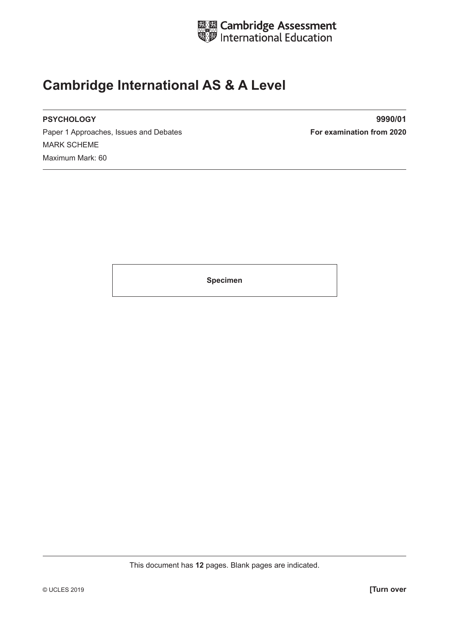

## **Cambridge International AS & A Level**

Paper 1 Approaches, Issues and Debates **For examination from 2020** MARK SCHEME Maximum Mark: 60

**PSYCHOLOGY 9990/01**

**Specimen**

This document has **12** pages. Blank pages are indicated.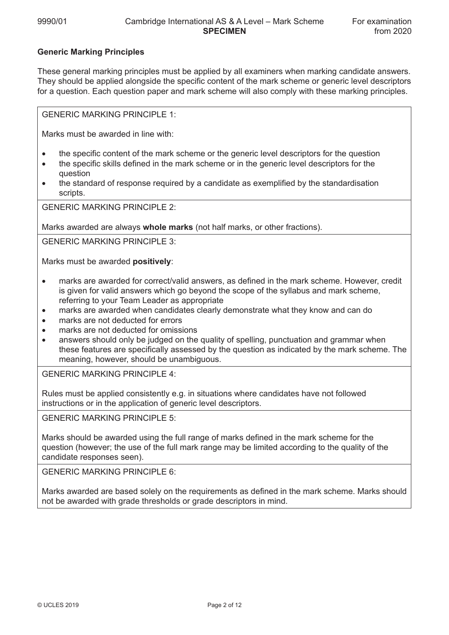## **Generic Marking Principles**

These general marking principles must be applied by all examiners when marking candidate answers. They should be applied alongside the specific content of the mark scheme or generic level descriptors for a question. Each question paper and mark scheme will also comply with these marking principles.

GENERIC MARKING PRINCIPLE 1:

Marks must be awarded in line with:

- the specific content of the mark scheme or the generic level descriptors for the question
- the specific skills defined in the mark scheme or in the generic level descriptors for the question
- the standard of response required by a candidate as exemplified by the standardisation scripts.

GENERIC MARKING PRINCIPLE 2:

Marks awarded are always **whole marks** (not half marks, or other fractions).

GENERIC MARKING PRINCIPLE 3:

Marks must be awarded **positively**:

- marks are awarded for correct/valid answers, as defined in the mark scheme. However, credit is given for valid answers which go beyond the scope of the syllabus and mark scheme, referring to your Team Leader as appropriate
- marks are awarded when candidates clearly demonstrate what they know and can do
- marks are not deducted for errors
- marks are not deducted for omissions
- answers should only be judged on the quality of spelling, punctuation and grammar when these features are specifically assessed by the question as indicated by the mark scheme. The meaning, however, should be unambiguous.

GENERIC MARKING PRINCIPLE 4:

Rules must be applied consistently e.g. in situations where candidates have not followed instructions or in the application of generic level descriptors.

GENERIC MARKING PRINCIPLE 5:

Marks should be awarded using the full range of marks defined in the mark scheme for the question (however; the use of the full mark range may be limited according to the quality of the candidate responses seen).

GENERIC MARKING PRINCIPLE 6:

Marks awarded are based solely on the requirements as defined in the mark scheme. Marks should not be awarded with grade thresholds or grade descriptors in mind.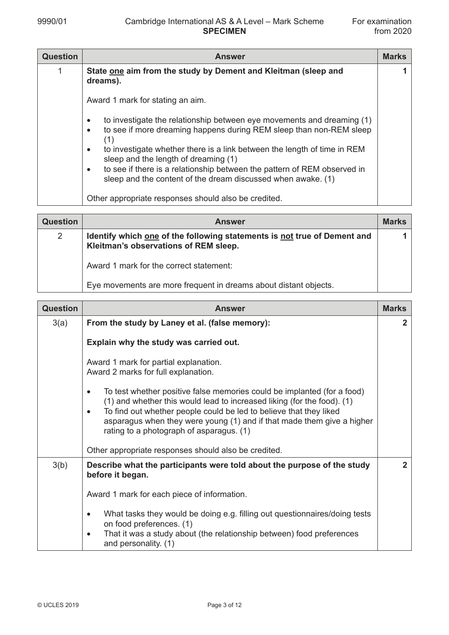| <b>Question</b> | <b>Answer</b>                                                                                                                                                                                                                                                                                                                                                                                                                                                            | <b>Marks</b> |
|-----------------|--------------------------------------------------------------------------------------------------------------------------------------------------------------------------------------------------------------------------------------------------------------------------------------------------------------------------------------------------------------------------------------------------------------------------------------------------------------------------|--------------|
|                 | State one aim from the study by Dement and Kleitman (sleep and<br>dreams).                                                                                                                                                                                                                                                                                                                                                                                               |              |
|                 | Award 1 mark for stating an aim.                                                                                                                                                                                                                                                                                                                                                                                                                                         |              |
|                 | to investigate the relationship between eye movements and dreaming (1)<br>$\bullet$<br>to see if more dreaming happens during REM sleep than non-REM sleep<br>$\bullet$<br>(1)<br>to investigate whether there is a link between the length of time in REM<br>$\bullet$<br>sleep and the length of dreaming (1)<br>to see if there is a relationship between the pattern of REM observed in<br>$\bullet$<br>sleep and the content of the dream discussed when awake. (1) |              |
|                 | Other appropriate responses should also be credited.                                                                                                                                                                                                                                                                                                                                                                                                                     |              |

| <b>Question</b> | <b>Answer</b>                                                                                                     | <b>Marks</b> |
|-----------------|-------------------------------------------------------------------------------------------------------------------|--------------|
| $\overline{2}$  | Identify which one of the following statements is not true of Dement and<br>Kleitman's observations of REM sleep. |              |
|                 | Award 1 mark for the correct statement:                                                                           |              |
|                 | Eye movements are more frequent in dreams about distant objects.                                                  |              |

| <b>Question</b> | <b>Answer</b>                                                                                                                                                                                                                                                                                                                                               | <b>Marks</b> |
|-----------------|-------------------------------------------------------------------------------------------------------------------------------------------------------------------------------------------------------------------------------------------------------------------------------------------------------------------------------------------------------------|--------------|
| 3(a)            | From the study by Laney et al. (false memory):                                                                                                                                                                                                                                                                                                              | $\mathbf{2}$ |
|                 | Explain why the study was carried out.                                                                                                                                                                                                                                                                                                                      |              |
|                 | Award 1 mark for partial explanation.<br>Award 2 marks for full explanation.                                                                                                                                                                                                                                                                                |              |
|                 | To test whether positive false memories could be implanted (for a food)<br>$\bullet$<br>(1) and whether this would lead to increased liking (for the food). (1)<br>To find out whether people could be led to believe that they liked<br>asparagus when they were young (1) and if that made them give a higher<br>rating to a photograph of asparagus. (1) |              |
|                 | Other appropriate responses should also be credited.                                                                                                                                                                                                                                                                                                        |              |
| 3(b)            | Describe what the participants were told about the purpose of the study<br>before it began.                                                                                                                                                                                                                                                                 | $\mathbf{2}$ |
|                 | Award 1 mark for each piece of information.                                                                                                                                                                                                                                                                                                                 |              |
|                 | What tasks they would be doing e.g. filling out questionnaires/doing tests<br>$\bullet$<br>on food preferences. (1)<br>That it was a study about (the relationship between) food preferences<br>$\bullet$<br>and personality. (1)                                                                                                                           |              |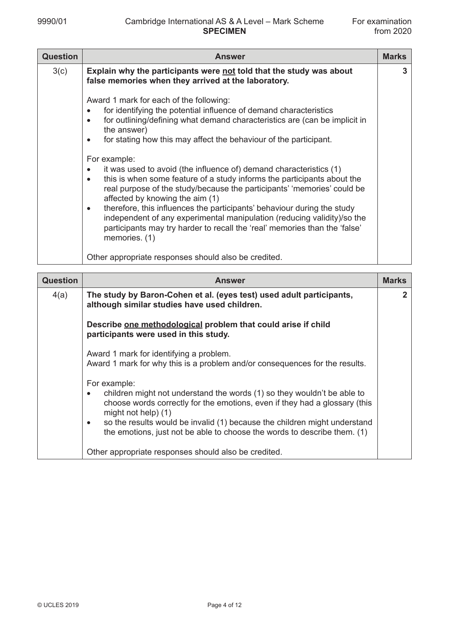| <b>Question</b> | <b>Answer</b>                                                                                                                                                                                                                                                                                                                                                                                                                                                                                                                                                                                                                                                                                                                                                                                                                                                                    | <b>Marks</b> |
|-----------------|----------------------------------------------------------------------------------------------------------------------------------------------------------------------------------------------------------------------------------------------------------------------------------------------------------------------------------------------------------------------------------------------------------------------------------------------------------------------------------------------------------------------------------------------------------------------------------------------------------------------------------------------------------------------------------------------------------------------------------------------------------------------------------------------------------------------------------------------------------------------------------|--------------|
| 3(c)            | Explain why the participants were not told that the study was about<br>false memories when they arrived at the laboratory.                                                                                                                                                                                                                                                                                                                                                                                                                                                                                                                                                                                                                                                                                                                                                       | 3            |
|                 | Award 1 mark for each of the following:<br>for identifying the potential influence of demand characteristics<br>٠<br>for outlining/defining what demand characteristics are (can be implicit in<br>$\bullet$<br>the answer)<br>for stating how this may affect the behaviour of the participant.<br>$\bullet$<br>For example:<br>it was used to avoid (the influence of) demand characteristics (1)<br>٠<br>this is when some feature of a study informs the participants about the<br>$\bullet$<br>real purpose of the study/because the participants' 'memories' could be<br>affected by knowing the aim (1)<br>therefore, this influences the participants' behaviour during the study<br>$\bullet$<br>independent of any experimental manipulation (reducing validity)/so the<br>participants may try harder to recall the 'real' memories than the 'false'<br>memories. (1) |              |
|                 | Other appropriate responses should also be credited.                                                                                                                                                                                                                                                                                                                                                                                                                                                                                                                                                                                                                                                                                                                                                                                                                             |              |

| <b>Question</b> | <b>Answer</b>                                                                                                                                                                                                                                                                                                                                                                     | <b>Marks</b> |
|-----------------|-----------------------------------------------------------------------------------------------------------------------------------------------------------------------------------------------------------------------------------------------------------------------------------------------------------------------------------------------------------------------------------|--------------|
| 4(a)            | The study by Baron-Cohen et al. (eyes test) used adult participants,<br>although similar studies have used children.                                                                                                                                                                                                                                                              | $\mathbf{2}$ |
|                 | Describe one methodological problem that could arise if child<br>participants were used in this study.                                                                                                                                                                                                                                                                            |              |
|                 | Award 1 mark for identifying a problem.<br>Award 1 mark for why this is a problem and/or consequences for the results.                                                                                                                                                                                                                                                            |              |
|                 | For example:<br>children might not understand the words (1) so they wouldn't be able to<br>$\bullet$<br>choose words correctly for the emotions, even if they had a glossary (this<br>might not help) $(1)$<br>so the results would be invalid (1) because the children might understand<br>$\bullet$<br>the emotions, just not be able to choose the words to describe them. (1) |              |
|                 | Other appropriate responses should also be credited.                                                                                                                                                                                                                                                                                                                              |              |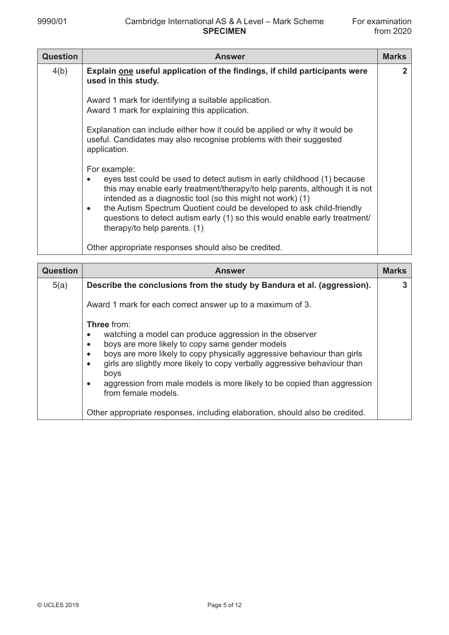| <b>Question</b> | <b>Answer</b>                                                                                                                                                                                                                                                                                                                                                                                                                                         | <b>Marks</b> |
|-----------------|-------------------------------------------------------------------------------------------------------------------------------------------------------------------------------------------------------------------------------------------------------------------------------------------------------------------------------------------------------------------------------------------------------------------------------------------------------|--------------|
| 4(b)            | Explain one useful application of the findings, if child participants were<br>used in this study.                                                                                                                                                                                                                                                                                                                                                     | 2            |
|                 | Award 1 mark for identifying a suitable application.<br>Award 1 mark for explaining this application.                                                                                                                                                                                                                                                                                                                                                 |              |
|                 | Explanation can include either how it could be applied or why it would be<br>useful. Candidates may also recognise problems with their suggested<br>application.                                                                                                                                                                                                                                                                                      |              |
|                 | For example:<br>eyes test could be used to detect autism in early childhood (1) because<br>$\bullet$<br>this may enable early treatment/therapy/to help parents, although it is not<br>intended as a diagnostic tool (so this might not work) (1)<br>the Autism Spectrum Quotient could be developed to ask child-friendly<br>$\bullet$<br>questions to detect autism early (1) so this would enable early treatment/<br>therapy/to help parents. (1) |              |
|                 | Other appropriate responses should also be credited.                                                                                                                                                                                                                                                                                                                                                                                                  |              |

| <b>Question</b> | <b>Answer</b>                                                                                                                                                                                                                                                                                                                                                                                                                                          | <b>Marks</b> |
|-----------------|--------------------------------------------------------------------------------------------------------------------------------------------------------------------------------------------------------------------------------------------------------------------------------------------------------------------------------------------------------------------------------------------------------------------------------------------------------|--------------|
| 5(a)            | Describe the conclusions from the study by Bandura et al. (aggression).                                                                                                                                                                                                                                                                                                                                                                                |              |
|                 | Award 1 mark for each correct answer up to a maximum of 3.                                                                                                                                                                                                                                                                                                                                                                                             |              |
|                 | <b>Three</b> from:<br>watching a model can produce aggression in the observer<br>boys are more likely to copy same gender models<br>$\bullet$<br>boys are more likely to copy physically aggressive behaviour than girls<br>$\bullet$<br>girls are slightly more likely to copy verbally aggressive behaviour than<br>$\bullet$<br>boys<br>aggression from male models is more likely to be copied than aggression<br>$\bullet$<br>from female models. |              |
|                 | Other appropriate responses, including elaboration, should also be credited.                                                                                                                                                                                                                                                                                                                                                                           |              |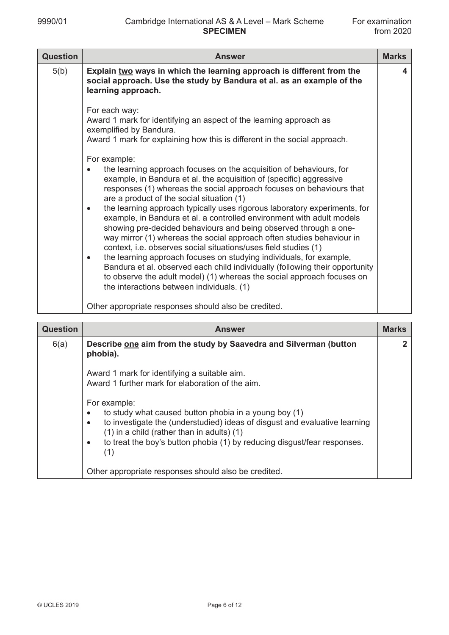| <b>Question</b> | <b>Answer</b>                                                                                                                                                                                                                                                                                                                                                                                                                                                                                                                                                                                                                                                                                                                                                                                                                                                                                                                                                              | <b>Marks</b> |
|-----------------|----------------------------------------------------------------------------------------------------------------------------------------------------------------------------------------------------------------------------------------------------------------------------------------------------------------------------------------------------------------------------------------------------------------------------------------------------------------------------------------------------------------------------------------------------------------------------------------------------------------------------------------------------------------------------------------------------------------------------------------------------------------------------------------------------------------------------------------------------------------------------------------------------------------------------------------------------------------------------|--------------|
| 5(b)            | Explain two ways in which the learning approach is different from the<br>social approach. Use the study by Bandura et al. as an example of the<br>learning approach.                                                                                                                                                                                                                                                                                                                                                                                                                                                                                                                                                                                                                                                                                                                                                                                                       | 4            |
|                 | For each way:<br>Award 1 mark for identifying an aspect of the learning approach as<br>exemplified by Bandura.<br>Award 1 mark for explaining how this is different in the social approach.                                                                                                                                                                                                                                                                                                                                                                                                                                                                                                                                                                                                                                                                                                                                                                                |              |
|                 | For example:<br>the learning approach focuses on the acquisition of behaviours, for<br>$\bullet$<br>example, in Bandura et al. the acquisition of (specific) aggressive<br>responses (1) whereas the social approach focuses on behaviours that<br>are a product of the social situation (1)<br>the learning approach typically uses rigorous laboratory experiments, for<br>$\bullet$<br>example, in Bandura et al. a controlled environment with adult models<br>showing pre-decided behaviours and being observed through a one-<br>way mirror (1) whereas the social approach often studies behaviour in<br>context, i.e. observes social situations/uses field studies (1)<br>the learning approach focuses on studying individuals, for example,<br>$\bullet$<br>Bandura et al. observed each child individually (following their opportunity<br>to observe the adult model) (1) whereas the social approach focuses on<br>the interactions between individuals. (1) |              |
|                 | Other appropriate responses should also be credited.                                                                                                                                                                                                                                                                                                                                                                                                                                                                                                                                                                                                                                                                                                                                                                                                                                                                                                                       |              |

| <b>Question</b> | <b>Answer</b>                                                                                                                                                                                                                                                                                              | <b>Marks</b> |
|-----------------|------------------------------------------------------------------------------------------------------------------------------------------------------------------------------------------------------------------------------------------------------------------------------------------------------------|--------------|
| 6(a)            | Describe one aim from the study by Saavedra and Silverman (button<br>phobia).                                                                                                                                                                                                                              | 2            |
|                 | Award 1 mark for identifying a suitable aim.<br>Award 1 further mark for elaboration of the aim.                                                                                                                                                                                                           |              |
|                 | For example:<br>to study what caused button phobia in a young boy (1)<br>to investigate the (understudied) ideas of disgust and evaluative learning<br>٠<br>$(1)$ in a child (rather than in adults) $(1)$<br>to treat the boy's button phobia (1) by reducing disgust/fear responses.<br>$\bullet$<br>(1) |              |
|                 | Other appropriate responses should also be credited.                                                                                                                                                                                                                                                       |              |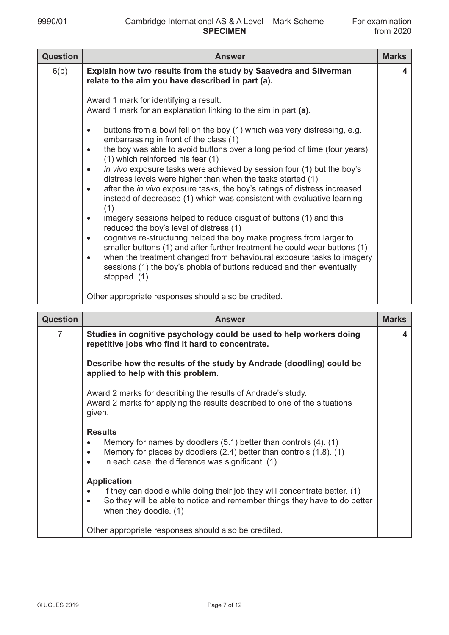| <b>Question</b> | <b>Answer</b>                                                                                                                                                              | <b>Marks</b> |
|-----------------|----------------------------------------------------------------------------------------------------------------------------------------------------------------------------|--------------|
| 6(b)            | Explain how two results from the study by Saavedra and Silverman<br>relate to the aim you have described in part (a).                                                      | 4            |
|                 | Award 1 mark for identifying a result.<br>Award 1 mark for an explanation linking to the aim in part (a).                                                                  |              |
|                 | buttons from a bowl fell on the boy (1) which was very distressing, e.g.<br>$\bullet$<br>embarrassing in front of the class (1)                                            |              |
|                 | the boy was able to avoid buttons over a long period of time (four years)<br>$\bullet$<br>(1) which reinforced his fear (1)                                                |              |
|                 | in vivo exposure tasks were achieved by session four (1) but the boy's<br>$\bullet$<br>distress levels were higher than when the tasks started (1)                         |              |
|                 | after the in vivo exposure tasks, the boy's ratings of distress increased<br>$\bullet$<br>instead of decreased (1) which was consistent with evaluative learning<br>(1)    |              |
|                 | imagery sessions helped to reduce disgust of buttons (1) and this<br>$\bullet$<br>reduced the boy's level of distress (1)                                                  |              |
|                 | cognitive re-structuring helped the boy make progress from larger to<br>$\bullet$<br>smaller buttons (1) and after further treatment he could wear buttons (1)             |              |
|                 | when the treatment changed from behavioural exposure tasks to imagery<br>$\bullet$<br>sessions (1) the boy's phobia of buttons reduced and then eventually<br>stopped. (1) |              |
|                 | Other appropriate responses should also be credited.                                                                                                                       |              |

| <b>Question</b> | <b>Answer</b>                                                                                                                                                                                                                             | <b>Marks</b> |
|-----------------|-------------------------------------------------------------------------------------------------------------------------------------------------------------------------------------------------------------------------------------------|--------------|
| $\overline{7}$  | Studies in cognitive psychology could be used to help workers doing<br>repetitive jobs who find it hard to concentrate.                                                                                                                   | 4            |
|                 | Describe how the results of the study by Andrade (doodling) could be<br>applied to help with this problem.                                                                                                                                |              |
|                 | Award 2 marks for describing the results of Andrade's study.<br>Award 2 marks for applying the results described to one of the situations<br>given.                                                                                       |              |
|                 | <b>Results</b><br>Memory for names by doodlers $(5.1)$ better than controls $(4)$ . $(1)$<br>Memory for places by doodlers $(2.4)$ better than controls $(1.8)$ . $(1)$<br>In each case, the difference was significant. (1)<br>$\bullet$ |              |
|                 | <b>Application</b><br>If they can doodle while doing their job they will concentrate better. (1)<br>So they will be able to notice and remember things they have to do better<br>when they doodle. (1)                                    |              |
|                 | Other appropriate responses should also be credited.                                                                                                                                                                                      |              |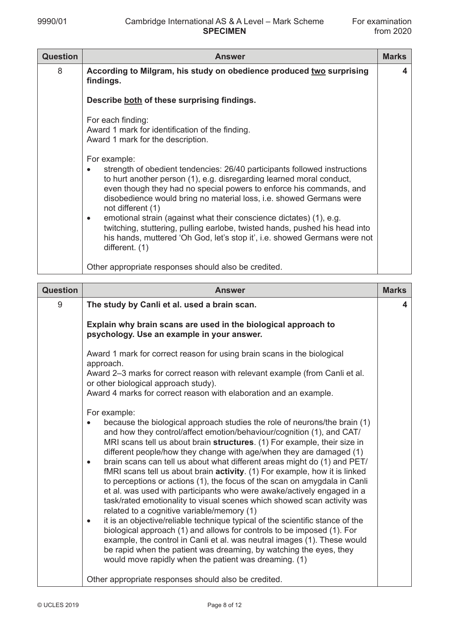| <b>Question</b> | <b>Answer</b>                                                                                                                                                                                                                                                                                                                                                                                                                | <b>Marks</b> |
|-----------------|------------------------------------------------------------------------------------------------------------------------------------------------------------------------------------------------------------------------------------------------------------------------------------------------------------------------------------------------------------------------------------------------------------------------------|--------------|
| 8               | According to Milgram, his study on obedience produced two surprising<br>findings.                                                                                                                                                                                                                                                                                                                                            | 4            |
|                 | Describe both of these surprising findings.                                                                                                                                                                                                                                                                                                                                                                                  |              |
|                 | For each finding:<br>Award 1 mark for identification of the finding.<br>Award 1 mark for the description.<br>For example:<br>strength of obedient tendencies: 26/40 participants followed instructions<br>to hurt another person (1), e.g. disregarding learned moral conduct,<br>even though they had no special powers to enforce his commands, and<br>disobedience would bring no material loss, i.e. showed Germans were |              |
|                 | not different (1)<br>emotional strain (against what their conscience dictates) (1), e.g.<br>$\bullet$<br>twitching, stuttering, pulling earlobe, twisted hands, pushed his head into<br>his hands, muttered 'Oh God, let's stop it', i.e. showed Germans were not<br>different. (1)                                                                                                                                          |              |
|                 | Other appropriate responses should also be credited.                                                                                                                                                                                                                                                                                                                                                                         |              |

| <b>Question</b> | <b>Answer</b>                                                                                                                                                                                                                                                                                                                                                                                                                                                                                                                                                                                                                                                                                                                                                                                                                                                                                                                                                                                                                                                                                                                                                   | <b>Marks</b> |
|-----------------|-----------------------------------------------------------------------------------------------------------------------------------------------------------------------------------------------------------------------------------------------------------------------------------------------------------------------------------------------------------------------------------------------------------------------------------------------------------------------------------------------------------------------------------------------------------------------------------------------------------------------------------------------------------------------------------------------------------------------------------------------------------------------------------------------------------------------------------------------------------------------------------------------------------------------------------------------------------------------------------------------------------------------------------------------------------------------------------------------------------------------------------------------------------------|--------------|
| 9               | The study by Canli et al. used a brain scan.                                                                                                                                                                                                                                                                                                                                                                                                                                                                                                                                                                                                                                                                                                                                                                                                                                                                                                                                                                                                                                                                                                                    | 4            |
|                 | Explain why brain scans are used in the biological approach to<br>psychology. Use an example in your answer.                                                                                                                                                                                                                                                                                                                                                                                                                                                                                                                                                                                                                                                                                                                                                                                                                                                                                                                                                                                                                                                    |              |
|                 | Award 1 mark for correct reason for using brain scans in the biological<br>approach.                                                                                                                                                                                                                                                                                                                                                                                                                                                                                                                                                                                                                                                                                                                                                                                                                                                                                                                                                                                                                                                                            |              |
|                 | Award 2-3 marks for correct reason with relevant example (from Canli et al.<br>or other biological approach study).                                                                                                                                                                                                                                                                                                                                                                                                                                                                                                                                                                                                                                                                                                                                                                                                                                                                                                                                                                                                                                             |              |
|                 | Award 4 marks for correct reason with elaboration and an example.                                                                                                                                                                                                                                                                                                                                                                                                                                                                                                                                                                                                                                                                                                                                                                                                                                                                                                                                                                                                                                                                                               |              |
|                 | For example:<br>because the biological approach studies the role of neurons/the brain (1)<br>and how they control/affect emotion/behaviour/cognition (1), and CAT/<br>MRI scans tell us about brain structures. (1) For example, their size in<br>different people/how they change with age/when they are damaged (1)<br>brain scans can tell us about what different areas might do (1) and PET/<br>$\bullet$<br>fMRI scans tell us about brain activity. (1) For example, how it is linked<br>to perceptions or actions (1), the focus of the scan on amygdala in Canli<br>et al. was used with participants who were awake/actively engaged in a<br>task/rated emotionality to visual scenes which showed scan activity was<br>related to a cognitive variable/memory (1)<br>it is an objective/reliable technique typical of the scientific stance of the<br>$\bullet$<br>biological approach (1) and allows for controls to be imposed (1). For<br>example, the control in Canli et al. was neutral images (1). These would<br>be rapid when the patient was dreaming, by watching the eyes, they<br>would move rapidly when the patient was dreaming. (1) |              |
|                 | Other appropriate responses should also be credited.                                                                                                                                                                                                                                                                                                                                                                                                                                                                                                                                                                                                                                                                                                                                                                                                                                                                                                                                                                                                                                                                                                            |              |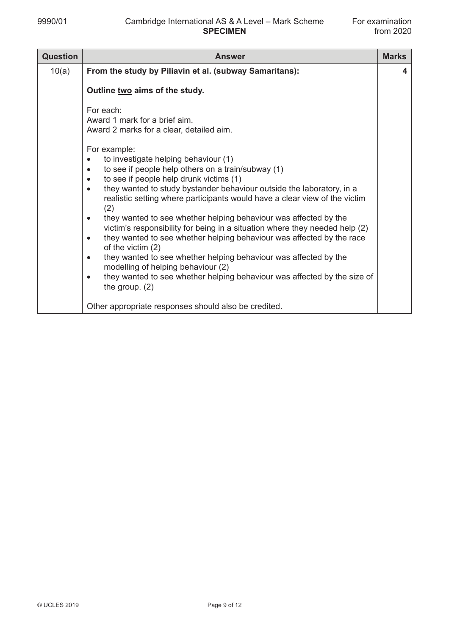| <b>Question</b> | <b>Answer</b>                                                                                                                                                                                                                                                                                                                                                                                                                                                                                                                                                                                                                                                                                                                                                                                                                                                                                                                      | <b>Marks</b> |
|-----------------|------------------------------------------------------------------------------------------------------------------------------------------------------------------------------------------------------------------------------------------------------------------------------------------------------------------------------------------------------------------------------------------------------------------------------------------------------------------------------------------------------------------------------------------------------------------------------------------------------------------------------------------------------------------------------------------------------------------------------------------------------------------------------------------------------------------------------------------------------------------------------------------------------------------------------------|--------------|
| 10(a)           | From the study by Piliavin et al. (subway Samaritans):                                                                                                                                                                                                                                                                                                                                                                                                                                                                                                                                                                                                                                                                                                                                                                                                                                                                             | 4            |
|                 | Outline two aims of the study.                                                                                                                                                                                                                                                                                                                                                                                                                                                                                                                                                                                                                                                                                                                                                                                                                                                                                                     |              |
|                 | For each:<br>Award 1 mark for a brief aim.<br>Award 2 marks for a clear, detailed aim.<br>For example:<br>to investigate helping behaviour (1)<br>to see if people help others on a train/subway (1)<br>$\bullet$<br>to see if people help drunk victims (1)<br>$\bullet$<br>they wanted to study bystander behaviour outside the laboratory, in a<br>realistic setting where participants would have a clear view of the victim<br>(2)<br>they wanted to see whether helping behaviour was affected by the<br>$\bullet$<br>victim's responsibility for being in a situation where they needed help (2)<br>they wanted to see whether helping behaviour was affected by the race<br>$\bullet$<br>of the victim (2)<br>they wanted to see whether helping behaviour was affected by the<br>$\bullet$<br>modelling of helping behaviour (2)<br>they wanted to see whether helping behaviour was affected by the size of<br>$\bullet$ |              |
|                 | the group. $(2)$<br>Other appropriate responses should also be credited.                                                                                                                                                                                                                                                                                                                                                                                                                                                                                                                                                                                                                                                                                                                                                                                                                                                           |              |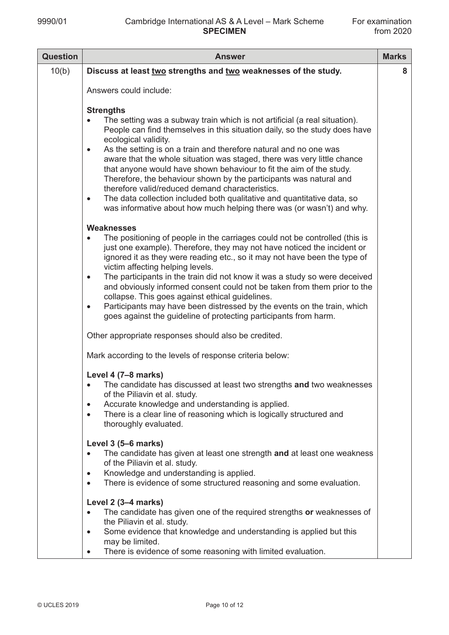| <b>Question</b> | <b>Answer</b>                                                                                                                                                                                                                                                                                                                                                                                                                                                                                                                                                                                                                                                                                                                                                                                                       | <b>Marks</b> |
|-----------------|---------------------------------------------------------------------------------------------------------------------------------------------------------------------------------------------------------------------------------------------------------------------------------------------------------------------------------------------------------------------------------------------------------------------------------------------------------------------------------------------------------------------------------------------------------------------------------------------------------------------------------------------------------------------------------------------------------------------------------------------------------------------------------------------------------------------|--------------|
| 10(b)           | Discuss at least two strengths and two weaknesses of the study.                                                                                                                                                                                                                                                                                                                                                                                                                                                                                                                                                                                                                                                                                                                                                     | 8            |
|                 | Answers could include:                                                                                                                                                                                                                                                                                                                                                                                                                                                                                                                                                                                                                                                                                                                                                                                              |              |
|                 | <b>Strengths</b><br>The setting was a subway train which is not artificial (a real situation).<br>People can find themselves in this situation daily, so the study does have<br>ecological validity.<br>As the setting is on a train and therefore natural and no one was<br>$\bullet$<br>aware that the whole situation was staged, there was very little chance<br>that anyone would have shown behaviour to fit the aim of the study.<br>Therefore, the behaviour shown by the participants was natural and<br>therefore valid/reduced demand characteristics.<br>The data collection included both qualitative and quantitative data, so<br>$\bullet$<br>was informative about how much helping there was (or wasn't) and why.                                                                                  |              |
|                 | <b>Weaknesses</b><br>The positioning of people in the carriages could not be controlled (this is<br>$\bullet$<br>just one example). Therefore, they may not have noticed the incident or<br>ignored it as they were reading etc., so it may not have been the type of<br>victim affecting helping levels.<br>The participants in the train did not know it was a study so were deceived<br>$\bullet$<br>and obviously informed consent could not be taken from them prior to the<br>collapse. This goes against ethical guidelines.<br>Participants may have been distressed by the events on the train, which<br>$\bullet$<br>goes against the guideline of protecting participants from harm.<br>Other appropriate responses should also be credited.<br>Mark according to the levels of response criteria below: |              |
|                 | Level 4 (7-8 marks)<br>The candidate has discussed at least two strengths and two weaknesses<br>of the Piliavin et al. study.<br>Accurate knowledge and understanding is applied.<br>$\bullet$<br>There is a clear line of reasoning which is logically structured and<br>$\bullet$<br>thoroughly evaluated.                                                                                                                                                                                                                                                                                                                                                                                                                                                                                                        |              |
|                 | Level 3 (5–6 marks)<br>The candidate has given at least one strength and at least one weakness<br>of the Piliavin et al. study.<br>Knowledge and understanding is applied.<br>$\bullet$<br>There is evidence of some structured reasoning and some evaluation.<br>$\bullet$                                                                                                                                                                                                                                                                                                                                                                                                                                                                                                                                         |              |
|                 | Level 2 (3-4 marks)<br>The candidate has given one of the required strengths or weaknesses of<br>$\bullet$<br>the Piliavin et al. study.<br>Some evidence that knowledge and understanding is applied but this<br>$\bullet$<br>may be limited.<br>There is evidence of some reasoning with limited evaluation.<br>$\bullet$                                                                                                                                                                                                                                                                                                                                                                                                                                                                                         |              |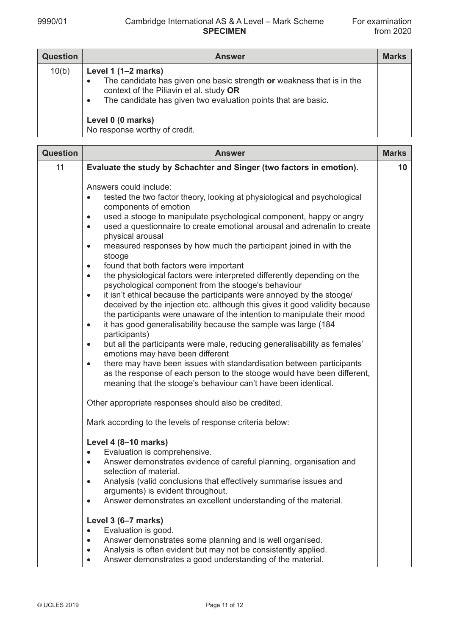| <b>Question</b> | <b>Answer</b>                                                                                                                                                                                                                                                                             | <b>Marks</b> |
|-----------------|-------------------------------------------------------------------------------------------------------------------------------------------------------------------------------------------------------------------------------------------------------------------------------------------|--------------|
| 10(b)           | Level $1(1-2 marks)$<br>The candidate has given one basic strength or weakness that is in the<br>$\bullet$<br>context of the Piliavin et al. study OR<br>The candidate has given two evaluation points that are basic.<br>$\bullet$<br>Level 0 (0 marks)<br>No response worthy of credit. |              |

| <b>Question</b> | <b>Answer</b>                                                                                                                                                                                                                                                                                                                                                                                                                                                                                                                                                                                                                                                                                                                                                                                                                                                                                                                                                                                                                                                                                                                                                                                                                                                                                                                                                                                                                                                                   | <b>Marks</b> |
|-----------------|---------------------------------------------------------------------------------------------------------------------------------------------------------------------------------------------------------------------------------------------------------------------------------------------------------------------------------------------------------------------------------------------------------------------------------------------------------------------------------------------------------------------------------------------------------------------------------------------------------------------------------------------------------------------------------------------------------------------------------------------------------------------------------------------------------------------------------------------------------------------------------------------------------------------------------------------------------------------------------------------------------------------------------------------------------------------------------------------------------------------------------------------------------------------------------------------------------------------------------------------------------------------------------------------------------------------------------------------------------------------------------------------------------------------------------------------------------------------------------|--------------|
| 11              | Evaluate the study by Schachter and Singer (two factors in emotion).                                                                                                                                                                                                                                                                                                                                                                                                                                                                                                                                                                                                                                                                                                                                                                                                                                                                                                                                                                                                                                                                                                                                                                                                                                                                                                                                                                                                            | 10           |
|                 | Answers could include:<br>tested the two factor theory, looking at physiological and psychological<br>$\bullet$<br>components of emotion<br>used a stooge to manipulate psychological component, happy or angry<br>$\bullet$<br>used a questionnaire to create emotional arousal and adrenalin to create<br>$\bullet$<br>physical arousal<br>measured responses by how much the participant joined in with the<br>$\bullet$<br>stooge<br>found that both factors were important<br>$\bullet$<br>the physiological factors were interpreted differently depending on the<br>$\bullet$<br>psychological component from the stooge's behaviour<br>it isn't ethical because the participants were annoyed by the stooge/<br>$\bullet$<br>deceived by the injection etc. although this gives it good validity because<br>the participants were unaware of the intention to manipulate their mood<br>it has good generalisability because the sample was large (184<br>$\bullet$<br>participants)<br>but all the participants were male, reducing generalisability as females'<br>$\bullet$<br>emotions may have been different<br>there may have been issues with standardisation between participants<br>$\bullet$<br>as the response of each person to the stooge would have been different,<br>meaning that the stooge's behaviour can't have been identical.<br>Other appropriate responses should also be credited.<br>Mark according to the levels of response criteria below: |              |
|                 | Level 4 (8-10 marks)<br>Evaluation is comprehensive.<br>$\bullet$<br>Answer demonstrates evidence of careful planning, organisation and<br>$\bullet$<br>selection of material.<br>Analysis (valid conclusions that effectively summarise issues and<br>arguments) is evident throughout.<br>Answer demonstrates an excellent understanding of the material.                                                                                                                                                                                                                                                                                                                                                                                                                                                                                                                                                                                                                                                                                                                                                                                                                                                                                                                                                                                                                                                                                                                     |              |
|                 | Level 3 (6-7 marks)<br>Evaluation is good.<br>$\bullet$<br>Answer demonstrates some planning and is well organised.<br>$\bullet$<br>Analysis is often evident but may not be consistently applied.<br>Answer demonstrates a good understanding of the material.<br>$\bullet$                                                                                                                                                                                                                                                                                                                                                                                                                                                                                                                                                                                                                                                                                                                                                                                                                                                                                                                                                                                                                                                                                                                                                                                                    |              |